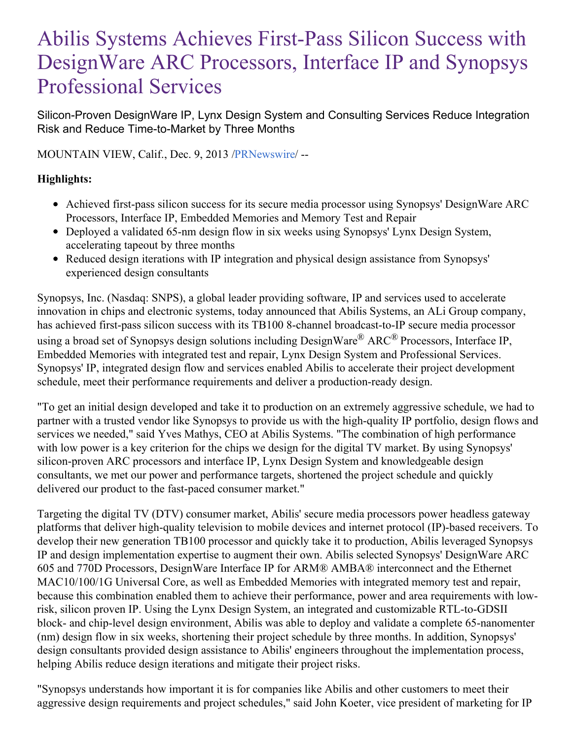# Abilis Systems Achieves First-Pass Silicon Success with DesignWare ARC Processors, Interface IP and Synopsys Professional Services

Silicon-Proven DesignWare IP, Lynx Design System and Consulting Services Reduce Integration Risk and Reduce Time-to-Market by Three Months

MOUNTAIN VIEW, Calif., Dec. 9, 2013 [/PRNewswire](http://www.prnewswire.com/)/ --

# **Highlights:**

- Achieved first-pass silicon success for its secure media processor using Synopsys' DesignWare ARC Processors, Interface IP, Embedded Memories and Memory Test and Repair
- Deployed a validated 65-nm design flow in six weeks using Synopsys' Lynx Design System, accelerating tapeout by three months
- Reduced design iterations with IP integration and physical design assistance from Synopsys' experienced design consultants

Synopsys, Inc. (Nasdaq: SNPS), a global leader providing software, IP and services used to accelerate innovation in chips and electronic systems, today announced that Abilis Systems, an ALi Group company, has achieved first-pass silicon success with its TB100 8-channel broadcast-to-IP secure media processor using a broad set of Synopsys design solutions including DesignWare® ARC® Processors, Interface IP, Embedded Memories with integrated test and repair, Lynx Design System and Professional Services. Synopsys' IP, integrated design flow and services enabled Abilis to accelerate their project development schedule, meet their performance requirements and deliver a production-ready design.

"To get an initial design developed and take it to production on an extremely aggressive schedule, we had to partner with a trusted vendor like Synopsys to provide us with the high-quality IP portfolio, design flows and services we needed," said Yves Mathys, CEO at Abilis Systems. "The combination of high performance with low power is a key criterion for the chips we design for the digital TV market. By using Synopsys' silicon-proven ARC processors and interface IP, Lynx Design System and knowledgeable design consultants, we met our power and performance targets, shortened the project schedule and quickly delivered our product to the fast-paced consumer market."

Targeting the digital TV (DTV) consumer market, Abilis' secure media processors power headless gateway platforms that deliver high-quality television to mobile devices and internet protocol (IP)-based receivers. To develop their new generation TB100 processor and quickly take it to production, Abilis leveraged Synopsys IP and design implementation expertise to augment their own. Abilis selected Synopsys' DesignWare ARC 605 and 770D Processors, DesignWare Interface IP for ARM® AMBA® interconnect and the Ethernet MAC10/100/1G Universal Core, as well as Embedded Memories with integrated memory test and repair, because this combination enabled them to achieve their performance, power and area requirements with lowrisk, silicon proven IP. Using the Lynx Design System, an integrated and customizable RTL-to-GDSII block- and chip-level design environment, Abilis was able to deploy and validate a complete 65-nanomenter (nm) design flow in six weeks, shortening their project schedule by three months. In addition, Synopsys' design consultants provided design assistance to Abilis' engineers throughout the implementation process, helping Abilis reduce design iterations and mitigate their project risks.

"Synopsys understands how important it is for companies like Abilis and other customers to meet their aggressive design requirements and project schedules," said John Koeter, vice president of marketing for IP